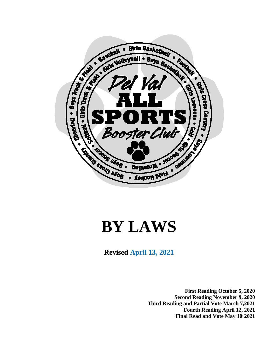

# **BY LAWS**

**Revised April 13, 2021**

**First Reading October 5, 2020 Second Reading November 9, 2020 Third Reading and Partial Vote March 7,2021 Fourth Reading April 12, 2021 Final Read and Vote May 10, 2021**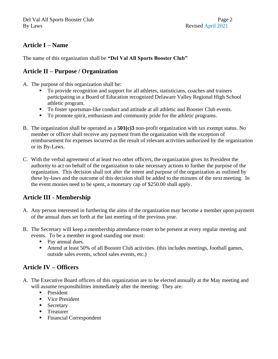# **Article I – Name**

The name of this organization shall be **"Del Val All Sports Booster Club"**

## **Article II – Purpose / Organization**

- A. The purpose of this organization shall be:
	- To provide recognition and support for all athletes, statisticians, coaches and trainers participating in a Board of Education recognized Delaware Valley Regional High School athletic program.
	- To foster sportsman-like conduct and attitude at all athletic and Booster Club events.
	- To promote spirit, enthusiasm and community pride for the athletic programs.
- B. The organization shall be operated as a **501(c)3** non-profit organization with tax exempt status. No member or officer shall receive any payment from the organization with the exception of reimbursement for expenses incurred as the result of relevant activities authorized by the organization or its By-Laws.
- C. With the verbal agreement of at least two other officers, the organization gives its President the authority to act on behalf of the organization to take necessary actions to further the purpose of the organization. This decision shall not alter the intent and purpose of the organization as outlined by these by-laws and the outcome of this decision shall be added to the minutes of the next meeting. In the event monies need to be spent, a monetary cap of \$250.00 shall apply.

# **Article III - Membership**

- A. Any person interested in furthering the aims of the organization may become a member upon payment of the annual dues set forth at the last meeting of the previous year.
- B. The Secretary will keep a membership attendance roster to be present at every regular meeting and events. To be a member in good standing one must:
	- Pay annual dues.
	- Attend at least 50% of all Booster Club activities. (this includes meetings, football games, outside sales events, school sales events, etc.)

# **Article IV – Officers**

- A. The Executive Board officers of this organization are to be elected annually at the May meeting and will assume responsibilities immediately after the meeting. They are:
	- **President**
	- Vice President
	- Secretary
	- Treasurer
	- Financial Correspondent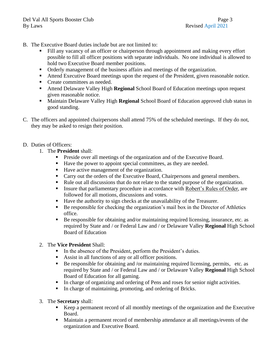- B. The Executive Board duties include but are not limited to:
	- Fill any vacancy of an officer or chairperson through appointment and making every effort possible to fill all officer positions with separate individuals. No one individual is allowed to hold two Executive Board member positions.
	- Orderly management of the business affairs and meetings of the organization.
	- Attend Executive Board meetings upon the request of the President, given reasonable notice.
	- Create committees as needed.
	- Attend Delaware Valley High **Regional** School Board of Education meetings upon request given reasonable notice.
	- Maintain Delaware Valley High **Regional** School Board of Education approved club status in good standing.
- C. The officers and appointed chairpersons shall attend 75% of the scheduled meetings. If they do not, they may be asked to resign their position.
- D. Duties of Officers:
	- 1. The **President** shall:
		- **•** Preside over all meetings of the organization and of the Executive Board.
		- Have the power to appoint special committees, as they are needed.
		- Have active management of the organization.
		- Carry out the orders of the Executive Board, Chairpersons and general members.
		- Rule out all discussions that do not relate to the stated purpose of the organization.
		- **Exercise 1** Insure that parliamentary procedure in accordance with Robert's Rules of Order, are followed for all motions, discussions and votes.
		- Have the authority to sign checks at the unavailability of the Treasurer.
		- Be responsible for checking the organization's mail box in the Director of Athletics office.
		- $\blacksquare$  Be responsible for obtaining and/or maintaining required licensing, insurance, etc. as required by State and / or Federal Law and / or Delaware Valley **Regional** High School Board of Education
	- 2. The **Vice President** Shall:
		- In the absence of the President, perform the President's duties.
		- Assist in all functions of any or all officer positions.
		- **Be responsible for obtaining and /or maintaining required licensing, permits, etc. as** required by State and / or Federal Law and / or Delaware Valley **Regional** High School Board of Education for all gaming.
		- In charge of organizing and ordering of Pens and roses for senior night activities.
		- In charge of maintaining, promoting, and ordering of Bricks.
	- 3. The **Secretary** shall:
		- Keep a permanent record of all monthly meetings of the organization and the Executive Board.
		- Maintain a permanent record of membership attendance at all meetings/events of the organization and Executive Board.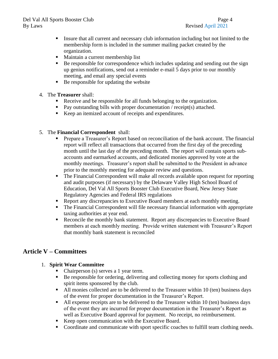#### Del Val All Sports Booster Club Page 4 By Laws Revised April 2021

- Insure that all current and necessary club information including but not limited to the membership form is included in the summer mailing packet created by the organization.
- Maintain a current membership list
- Be responsible for correspondence which includes updating and sending out the sign up genius notifications, send out a reminder e-mail 5 days prior to our monthly meeting, and email any special events
- Be responsible for updating the website
- 4. The **Treasurer** shall:
	- Receive and be responsible for all funds belonging to the organization.
	- Pay outstanding bills with proper documentation / receipt(s) attached.
	- Keep an itemized account of receipts and expenditures.
- 5. The **Financial Correspondent** shall:
	- Prepare a Treasurer's Report based on reconciliation of the bank account. The financial report will reflect all transactions that occurred from the first day of the preceding month until the last day of the preceding month. The report will contain sports subaccounts and earmarked accounts, and dedicated monies approved by vote at the monthly meetings. Treasurer's report shall be submitted to the President in advance prior to the monthly meeting for adequate review and questions.
	- The Financial Correspondent will make all records available upon request for reporting and audit purposes (if necessary) by the Delaware Valley High School Board of Education, Del Val All Sports Booster Club Executive Board, New Jersey State Regulatory Agencies and Federal IRS regulations
	- Report any discrepancies to Executive Board members at each monthly meeting.
	- The Financial Correspondent will file necessary financial information with appropriate taxing authorities at year end.
	- Reconcile the monthly bank statement. Report any discrepancies to Executive Board members at each monthly meeting. Provide written statement with Treasurer's Report that monthly bank statement is reconciled

# **Article V – Committees**

- 1. **Spirit Wear Committee**
	- Chairperson (s) serves a 1 year term.
	- Be responsible for ordering, delivering and collecting money for sports clothing and spirit items sponsored by the club.
	- All monies collected are to be delivered to the Treasurer within 10 (ten) business days of the event for proper documentation in the Treasurer's Report.
	- All expense receipts are to be delivered to the Treasurer within 10 (ten) business days of the event they are incurred for proper documentation in the Treasurer's Report as well as Executive Board approval for payment. No receipt, no reimbursement.
	- Keep open communication with the Executive Board.
	- Coordinate and communicate with sport specific coaches to fulfill team clothing needs.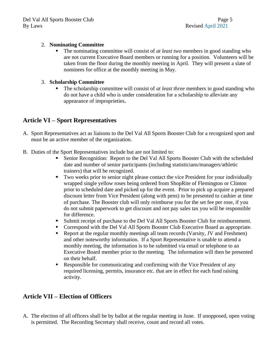#### 2. **Nominating Committee**

The nominating committee will consist of *at least two* members in good standing who are not current Executive Board members or running for a position. Volunteers will be taken from the floor during the monthly meeting in April. They will present a slate of nominees for office at the monthly meeting in May.

#### 3. **Scholarship Committee**

▪ The scholarship committee will consist of *at least three* members in good standing who do not have a child who is under consideration for a scholarship to alleviate any appearance of improprieties**.**

## **Article VI – Sport Representatives**

- A. Sport Representatives act as liaisons to the Del Val All Sports Booster Club for a recognized sport and must be an active member of the organization.
- B. Duties of the Sport Representatives include but are not limited to:
	- Senior Recognition: Report to the Del Val All Sports Booster Club with the scheduled date and number of senior participants (including statisticians/managers/athletic trainers) that will be recognized.
	- Two weeks prior to senior night please contact the vice President for your individually wrapped single yellow roses being ordered from ShopRite of Flemington or Clinton prior to scheduled date and picked up for the event. Prior to pick up acquire a prepared discount letter from Vice President (along with pens) to be presented to cashier at time of purchase. The Booster club will only reimburse you for the set fee per rose, if you do not submit paperwork to get discount and not pay sales tax you will be responsible for difference.
	- Submit receipt of purchase to the Del Val All Sports Booster Club for reimbursement.
	- Correspond with the Del Val All Sports Booster Club Executive Board as appropriate.
	- Report at the regular monthly meetings all team records (Varsity, JV and Freshmen) and other noteworthy information. If a Sport Representative is unable to attend a monthly meeting, the information is to be submitted via email or telephone to an Executive Board member prior to the meeting. The information will then be presented on their behalf.
	- **Responsible for communicating and confirming with the Vice President of any** required licensing, permits, insurance etc. that are in effect for each fund raising activity.

## **Article VII – Election of Officers**

A. The election of all officers shall be by ballot at the regular meeting in June. If unopposed, open voting is permitted. The Recording Secretary shall receive, count and record all votes.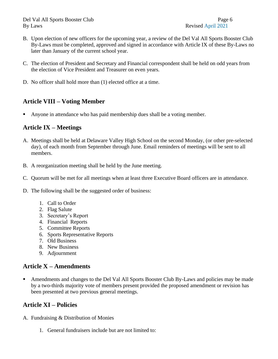- B. Upon election of new officers for the upcoming year, a review of the Del Val All Sports Booster Club By-Laws must be completed, approved and signed in accordance with Article IX of these By-Laws no later than January of the current school year.
- C. The election of President and Secretary and Financial correspondent shall be held on odd years from the election of Vice President and Treasurer on even years.
- D. No officer shall hold more than (1) elected office at a time.

# **Article VIII – Voting Member**

Anyone in attendance who has paid membership dues shall be a voting member.

## **Article IX – Meetings**

- A. Meetings shall be held at Delaware Valley High School on the second Monday, (or other pre-selected day), of each month from September through June. Email reminders of meetings will be sent to all members.
- B. A reorganization meeting shall be held by the June meeting.
- C. Quorum will be met for all meetings when at least three Executive Board officers are in attendance.
- D. The following shall be the suggested order of business:
	- 1. Call to Order
	- 2. Flag Salute
	- 3. Secretary's Report
	- 4. Financial Reports
	- 5. Committee Reports
	- 6. Sports Representative Reports
	- 7. Old Business
	- 8. New Business
	- 9. Adjournment

# **Article X – Amendments**

**EXECUTE:** Amendments and changes to the Del Val All Sports Booster Club By-Laws and policies may be made by a two-thirds majority vote of members present provided the proposed amendment or revision has been presented at two previous general meetings.

# **Article XI – Policies**

- A. Fundraising & Distribution of Monies
	- 1. General fundraisers include but are not limited to: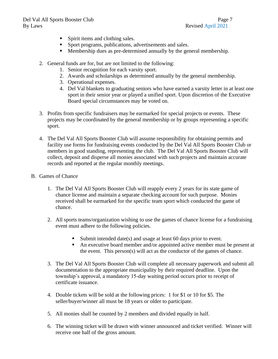- Spirit items and clothing sales.
- Sport programs, publications, advertisements and sales.
- Membership dues as pre-determined annually by the general membership.
- 2. General funds are for, but are not limited to the following:
	- 1. Senior recognition for each varsity sport.
	- 2. Awards and scholarships as determined annually by the general membership.
	- 3. Operational expenses.
	- 4. Del Val blankets to graduating seniors who have earned a varsity letter in at least one sport in their senior year or played a unified sport. Upon discretion of the Executive Board special circumstances may be voted on.
- 3. Profits from specific fundraisers may be earmarked for special projects or events. These projects may be coordinated by the general membership or by groups representing a specific sport.
- 4. The Del Val All Sports Booster Club will assume responsibility for obtaining permits and facility use forms for fundraising events conducted by the Del Val All Sports Booster Club or members in good standing, representing the club. The Del Val All Sports Booster Club will collect, deposit and disperse all monies associated with such projects and maintain accurate records and reported at the regular monthly meetings.
- B. Games of Chance
	- 1. The Del Val All Sports Booster Club will reapply every 2 years for its state game of chance license and maintain a separate checking account for such purpose. Monies received shall be earmarked for the specific team sport which conducted the game of chance.
	- 2. All sports teams/organization wishing to use the games of chance license for a fundraising event must adhere to the following policies.
		- Submit intended date(s) and usage at least 60 days prior to event.
		- An executive board member and/or appointed active member must be present at the event. This person(s) will act as the conductor of the games of chance.
	- 3. The Del Val All Sports Booster Club will complete all necessary paperwork and submit all documentation to the appropriate municipality by their required deadline. Upon the township's approval, a mandatory 15-day waiting period occurs prior to receipt of certificate issuance.
	- 4. Double tickets will be sold at the following prices: 1 for \$1 or 10 for \$5. The seller/buyer/winner all must be 18 years or older to participate.
	- 5. All monies shall be counted by 2 members and divided equally in half.
	- 6. The winning ticket will be drawn with winner announced and ticket verified. Winner will receive one half of the gross amount.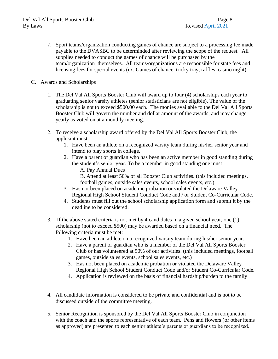- 7. Sport teams/organization conducting games of chance are subject to a processing fee made payable to the DVASBC to be determinded after reviewing the scope of the request. All supplies needed to conduct the games of chance will be purchased by the team/organization themselves. All teams/organizations are responsible for state fees and licensing fees for special events (ex. Games of chance, tricky tray, raffles, casino night).
- C. Awards and Scholarships
	- 1. The Del Val All Sports Booster Club will award up to four (4) scholarships each year to graduating senior varsity athletes (senior statisticians are not eligible). The value of the scholarship is not to exceed \$500.00 each. The monies available to the Del Val All Sports Booster Club will govern the number and dollar amount of the awards, and may change yearly as voted on at a monthly meeting.
	- 2. To receive a scholarship award offered by the Del Val All Sports Booster Club, the applicant must:
		- 1. Have been an athlete on a recognized varsity team during his/her senior year and intend to play sports in college.
		- 2. Have a parent or guardian who has been an active member in good standing during the student's senior year. To be a member in good standing one must:
			- A. Pay Annual Dues

B. Attend at least 50% of all Booster Club activities. (this included meetings, football games, outside sales events, school sales events, etc.)

- 3. Has not been placed on academic probation or violated the Delaware Valley Regional High School Student Conduct Code and / or Student Co-Curricular Code.
- 4. Students must fill out the school scholarship application form and submit it by the deadline to be considered.
- 3. If the above stated criteria is not met by 4 candidates in a given school year, one (1) scholarship (not to exceed \$500) may be awarded based on a financial need. The following criteria must be met:
	- 1. Have been an athlete on a recognized varsity team during his/her senior year.
	- 2. Have a parent or guardian who is a member of the Del Val All Sports Booster Club or has volunteered at 50% of our activities. (this included meetings, football games, outside sales events, school sales events, etc.)
	- 3. Has not been placed on academic probation or violated the Delaware Valley Regional High School Student Conduct Code and/or Student Co-Curricular Code.
	- 4. Application is reviewed on the basis of financial hardship/burden to the family
- 4. All candidate information is considered to be private and confidential and is not to be discussed outside of the committee meeting.
- 5. Senior Recognition is sponsored by the Del Val All Sports Booster Club in conjunction with the coach and the sports representative of each team. Pens and flowers (or other items as approved) are presented to each senior athlete's parents or guardians to be recognized.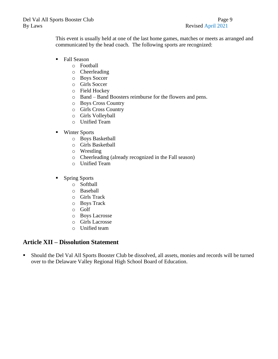This event is usually held at one of the last home games, matches or meets as arranged and communicated by the head coach. The following sports are recognized:

- Fall Season
	- o Football
	- o Cheerleading
	- o Boys Soccer
	- o Girls Soccer
	- o Field Hockey
	- o Band Band Boosters reimburse for the flowers and pens.
	- o Boys Cross Country
	- o Girls Cross Country
	- o Girls Volleyball
	- o Unified Team
- Winter Sports
	- o Boys Basketball
	- o Girls Basketball
	- o Wrestling
	- o Cheerleading (already recognized in the Fall season)
	- o Unified Team
- Spring Sports
	- o Softball
	- o Baseball
	- o Girls Track
	- o Boys Track
	- o Golf
	- o Boys Lacrosse
	- o Girls Lacrosse
	- o Unified team

## **Article XII – Dissolution Statement**

■ Should the Del Val All Sports Booster Club be dissolved, all assets, monies and records will be turned over to the Delaware Valley Regional High School Board of Education.